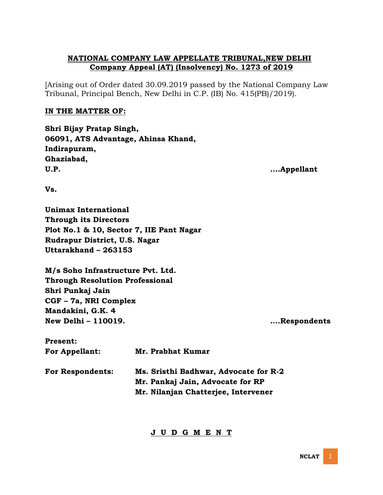# **NATIONAL COMPANY LAW APPELLATE TRIBUNAL,NEW DELHI Company Appeal (AT) (Insolvency) No. 1273 of 2019**

[Arising out of Order dated 30.09.2019 passed by the National Company Law Tribunal, Principal Bench, New Delhi in C.P. (IB) No. 415(PB)/2019).

# **IN THE MATTER OF:**

**Shri Bijay Pratap Singh, 06091, ATS Advantage, Ahinsa Khand, Indirapuram, Ghaziabad, U.P. .…Appellant**

**Vs.**

**Unimax International Through its Directors Plot No.1 & 10, Sector 7, IIE Pant Nagar Rudrapur District, U.S. Nagar Uttarakhand – 263153**

**M/s Soho Infrastructure Pvt. Ltd. Through Resolution Professional Shri Punkaj Jain CGF – 7a, NRI Complex Mandakini, G.K. 4 New Delhi – 110019. ….Respondents**

| <b>Present:</b>         |                                       |  |  |
|-------------------------|---------------------------------------|--|--|
| <b>For Appellant:</b>   | Mr. Prabhat Kumar                     |  |  |
| <b>For Respondents:</b> | Ms. Sristhi Badhwar, Advocate for R-2 |  |  |
|                         | Mr. Pankaj Jain, Advocate for RP      |  |  |
|                         | Mr. Nilanjan Chatterjee, Intervener   |  |  |

# **J U D G M E N T**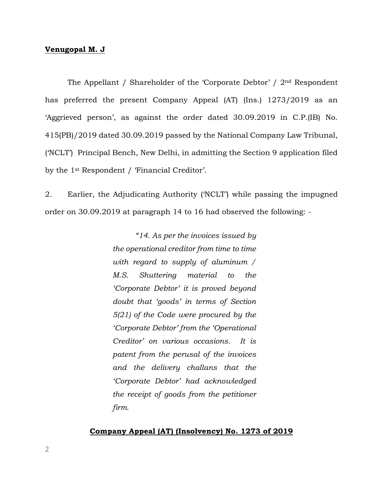## **Venugopal M. J**

The Appellant / Shareholder of the 'Corporate Debtor' / 2nd Respondent has preferred the present Company Appeal (AT) (Ins.) 1273/2019 as an 'Aggrieved person', as against the order dated 30.09.2019 in C.P.(IB) No. 415(PB)/2019 dated 30.09.2019 passed by the National Company Law Tribunal, ('NCLT') Principal Bench, New Delhi, in admitting the Section 9 application filed by the 1st Respondent / 'Financial Creditor'.

2. Earlier, the Adjudicating Authority ('NCLT') while passing the impugned order on 30.09.2019 at paragraph 14 to 16 had observed the following: -

> *"14. As per the invoices issued by the operational creditor from time to time with regard to supply of aluminum / M.S. Shuttering material to the 'Corporate Debtor' it is proved beyond doubt that 'goods' in terms of Section 5(21) of the Code were procured by the 'Corporate Debtor' from the 'Operational Creditor' on various occasions. It is patent from the perusal of the invoices and the delivery challans that the 'Corporate Debtor' had acknowledged the receipt of goods from the petitioner firm.*

## **Company Appeal (AT) (Insolvency) No. 1273 of 2019**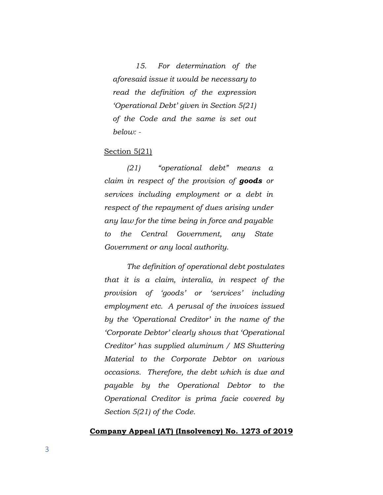*15. For determination of the aforesaid issue it would be necessary to read the definition of the expression 'Operational Debt' given in Section 5(21) of the Code and the same is set out below: -*

## Section 5(21)

*(21) "operational debt" means a claim in respect of the provision of goods or services including employment or a debt in respect of the repayment of dues arising under any law for the time being in force and payable to the Central Government, any State Government or any local authority.* 

*The definition of operational debt postulates that it is a claim, interalia, in respect of the provision of 'goods' or 'services' including employment etc. A perusal of the invoices issued by the 'Operational Creditor' in the name of the 'Corporate Debtor' clearly shows that 'Operational Creditor' has supplied aluminum / MS Shuttering Material to the Corporate Debtor on various occasions. Therefore, the debt which is due and payable by the Operational Debtor to the Operational Creditor is prima facie covered by Section 5(21) of the Code.*

## **Company Appeal (AT) (Insolvency) No. 1273 of 2019**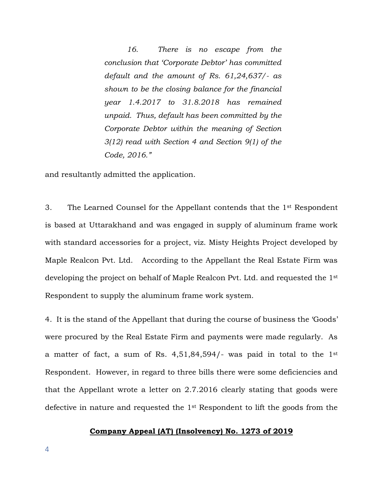*16. There is no escape from the conclusion that 'Corporate Debtor' has committed default and the amount of Rs. 61,24,637/- as shown to be the closing balance for the financial year 1.4.2017 to 31.8.2018 has remained unpaid. Thus, default has been committed by the Corporate Debtor within the meaning of Section 3(12) read with Section 4 and Section 9(1) of the Code, 2016."*

and resultantly admitted the application.

3. The Learned Counsel for the Appellant contends that the 1st Respondent is based at Uttarakhand and was engaged in supply of aluminum frame work with standard accessories for a project, viz. Misty Heights Project developed by Maple Realcon Pvt. Ltd. According to the Appellant the Real Estate Firm was developing the project on behalf of Maple Realcon Pvt. Ltd. and requested the 1st Respondent to supply the aluminum frame work system.

4. It is the stand of the Appellant that during the course of business the 'Goods' were procured by the Real Estate Firm and payments were made regularly. As a matter of fact, a sum of Rs. 4,51,84,594/- was paid in total to the 1st Respondent. However, in regard to three bills there were some deficiencies and that the Appellant wrote a letter on 2.7.2016 clearly stating that goods were defective in nature and requested the 1st Respondent to lift the goods from the

## **Company Appeal (AT) (Insolvency) No. 1273 of 2019**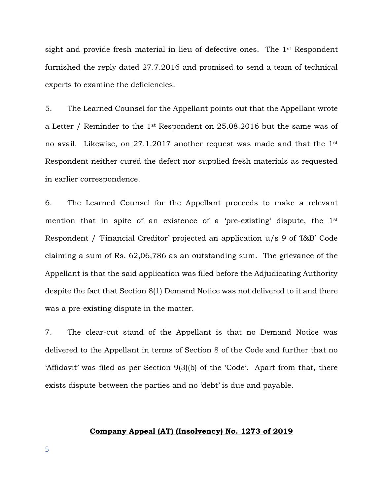sight and provide fresh material in lieu of defective ones. The 1st Respondent furnished the reply dated 27.7.2016 and promised to send a team of technical experts to examine the deficiencies.

5. The Learned Counsel for the Appellant points out that the Appellant wrote a Letter / Reminder to the 1st Respondent on 25.08.2016 but the same was of no avail. Likewise, on 27.1.2017 another request was made and that the 1st Respondent neither cured the defect nor supplied fresh materials as requested in earlier correspondence.

6. The Learned Counsel for the Appellant proceeds to make a relevant mention that in spite of an existence of a 'pre-existing' dispute, the 1<sup>st</sup> Respondent / 'Financial Creditor' projected an application u/s 9 of 'I&B' Code claiming a sum of Rs. 62,06,786 as an outstanding sum. The grievance of the Appellant is that the said application was filed before the Adjudicating Authority despite the fact that Section 8(1) Demand Notice was not delivered to it and there was a pre-existing dispute in the matter.

7. The clear-cut stand of the Appellant is that no Demand Notice was delivered to the Appellant in terms of Section 8 of the Code and further that no 'Affidavit' was filed as per Section 9(3)(b) of the 'Code'. Apart from that, there exists dispute between the parties and no 'debt' is due and payable.

## **Company Appeal (AT) (Insolvency) No. 1273 of 2019**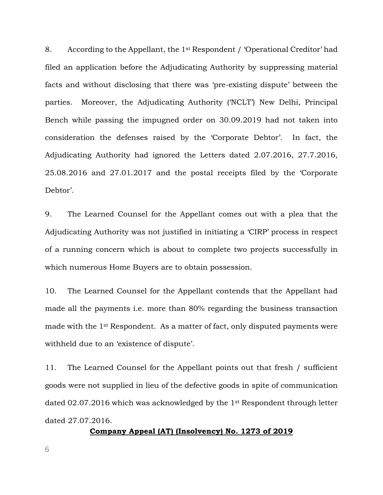8. According to the Appellant, the 1st Respondent / 'Operational Creditor' had filed an application before the Adjudicating Authority by suppressing material facts and without disclosing that there was 'pre-existing dispute' between the parties. Moreover, the Adjudicating Authority ('NCLT') New Delhi, Principal Bench while passing the impugned order on 30.09.2019 had not taken into consideration the defenses raised by the 'Corporate Debtor'. In fact, the Adjudicating Authority had ignored the Letters dated 2.07.2016, 27.7.2016, 25.08.2016 and 27.01.2017 and the postal receipts filed by the 'Corporate Debtor'.

9. The Learned Counsel for the Appellant comes out with a plea that the Adjudicating Authority was not justified in initiating a 'CIRP' process in respect of a running concern which is about to complete two projects successfully in which numerous Home Buyers are to obtain possession.

10. The Learned Counsel for the Appellant contends that the Appellant had made all the payments i.e. more than 80% regarding the business transaction made with the 1st Respondent. As a matter of fact, only disputed payments were withheld due to an 'existence of dispute'.

11. The Learned Counsel for the Appellant points out that fresh / sufficient goods were not supplied in lieu of the defective goods in spite of communication dated 02.07.2016 which was acknowledged by the 1st Respondent through letter dated 27.07.2016.

**Company Appeal (AT) (Insolvency) No. 1273 of 2019**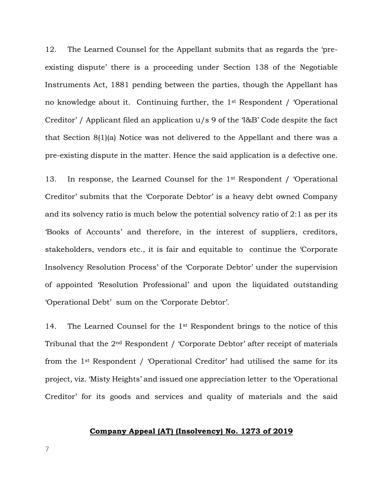12. The Learned Counsel for the Appellant submits that as regards the 'preexisting dispute' there is a proceeding under Section 138 of the Negotiable Instruments Act, 1881 pending between the parties, though the Appellant has no knowledge about it. Continuing further, the 1st Respondent / 'Operational Creditor' / Applicant filed an application u/s 9 of the 'I&B' Code despite the fact that Section 8(1)(a) Notice was not delivered to the Appellant and there was a pre-existing dispute in the matter. Hence the said application is a defective one.

13. In response, the Learned Counsel for the 1st Respondent / 'Operational Creditor' submits that the 'Corporate Debtor' is a heavy debt owned Company and its solvency ratio is much below the potential solvency ratio of 2:1 as per its 'Books of Accounts' and therefore, in the interest of suppliers, creditors, stakeholders, vendors etc., it is fair and equitable to continue the 'Corporate Insolvency Resolution Process' of the 'Corporate Debtor' under the supervision of appointed 'Resolution Professional' and upon the liquidated outstanding 'Operational Debt' sum on the 'Corporate Debtor'.

14. The Learned Counsel for the 1<sup>st</sup> Respondent brings to the notice of this Tribunal that the 2nd Respondent / 'Corporate Debtor' after receipt of materials from the 1st Respondent / 'Operational Creditor' had utilised the same for its project, viz. 'Misty Heights' and issued one appreciation letter to the 'Operational Creditor' for its goods and services and quality of materials and the said

## **Company Appeal (AT) (Insolvency) No. 1273 of 2019**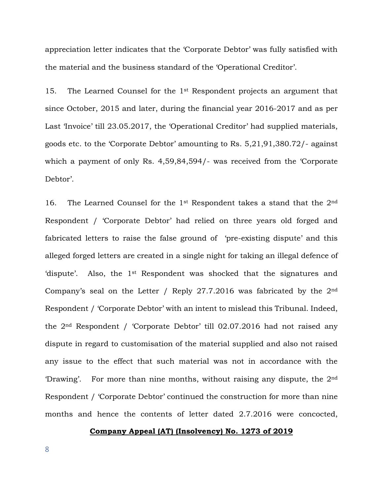appreciation letter indicates that the 'Corporate Debtor' was fully satisfied with the material and the business standard of the 'Operational Creditor'.

15. The Learned Counsel for the 1st Respondent projects an argument that since October, 2015 and later, during the financial year 2016-2017 and as per Last 'Invoice' till 23.05.2017, the 'Operational Creditor' had supplied materials, goods etc. to the 'Corporate Debtor' amounting to Rs. 5,21,91,380.72/- against which a payment of only Rs. 4,59,84,594/- was received from the 'Corporate Debtor'.

16. The Learned Counsel for the 1st Respondent takes a stand that the 2nd Respondent / 'Corporate Debtor' had relied on three years old forged and fabricated letters to raise the false ground of 'pre-existing dispute' and this alleged forged letters are created in a single night for taking an illegal defence of 'dispute'. Also, the 1st Respondent was shocked that the signatures and Company's seal on the Letter / Reply  $27.7.2016$  was fabricated by the  $2<sup>nd</sup>$ Respondent / 'Corporate Debtor' with an intent to mislead this Tribunal. Indeed, the 2nd Respondent / 'Corporate Debtor' till 02.07.2016 had not raised any dispute in regard to customisation of the material supplied and also not raised any issue to the effect that such material was not in accordance with the 'Drawing'. For more than nine months, without raising any dispute, the  $2<sup>nd</sup>$ Respondent / 'Corporate Debtor' continued the construction for more than nine months and hence the contents of letter dated 2.7.2016 were concocted,

#### **Company Appeal (AT) (Insolvency) No. 1273 of 2019**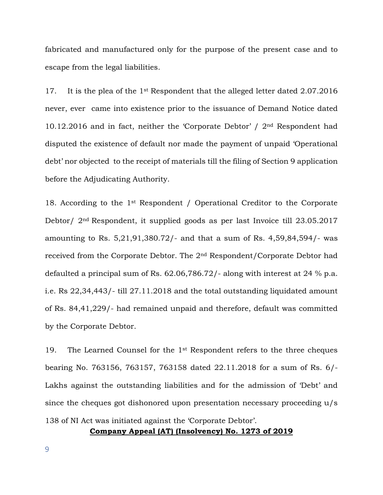fabricated and manufactured only for the purpose of the present case and to escape from the legal liabilities.

17. It is the plea of the 1st Respondent that the alleged letter dated 2.07.2016 never, ever came into existence prior to the issuance of Demand Notice dated 10.12.2016 and in fact, neither the 'Corporate Debtor' / 2nd Respondent had disputed the existence of default nor made the payment of unpaid 'Operational debt' nor objected to the receipt of materials till the filing of Section 9 application before the Adjudicating Authority.

18. According to the 1st Respondent / Operational Creditor to the Corporate Debtor/ 2nd Respondent, it supplied goods as per last Invoice till 23.05.2017 amounting to Rs. 5,21,91,380.72/- and that a sum of Rs. 4,59,84,594/- was received from the Corporate Debtor. The 2nd Respondent/Corporate Debtor had defaulted a principal sum of Rs. 62.06,786.72/- along with interest at 24 % p.a. i.e. Rs 22,34,443/- till 27.11.2018 and the total outstanding liquidated amount of Rs. 84,41,229/- had remained unpaid and therefore, default was committed by the Corporate Debtor.

19. The Learned Counsel for the 1<sup>st</sup> Respondent refers to the three cheques bearing No. 763156, 763157, 763158 dated 22.11.2018 for a sum of Rs. 6/- Lakhs against the outstanding liabilities and for the admission of 'Debt' and since the cheques got dishonored upon presentation necessary proceeding u/s 138 of NI Act was initiated against the 'Corporate Debtor'.

**Company Appeal (AT) (Insolvency) No. 1273 of 2019**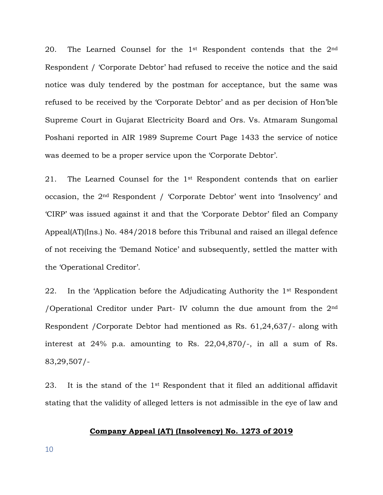20. The Learned Counsel for the  $1<sup>st</sup>$  Respondent contends that the  $2<sup>nd</sup>$ Respondent / 'Corporate Debtor' had refused to receive the notice and the said notice was duly tendered by the postman for acceptance, but the same was refused to be received by the 'Corporate Debtor' and as per decision of Hon'ble Supreme Court in Gujarat Electricity Board and Ors. Vs. Atmaram Sungomal Poshani reported in AIR 1989 Supreme Court Page 1433 the service of notice was deemed to be a proper service upon the 'Corporate Debtor'.

21. The Learned Counsel for the 1st Respondent contends that on earlier occasion, the 2nd Respondent / 'Corporate Debtor' went into 'Insolvency' and 'CIRP' was issued against it and that the 'Corporate Debtor' filed an Company Appeal(AT)(Ins.) No. 484/2018 before this Tribunal and raised an illegal defence of not receiving the 'Demand Notice' and subsequently, settled the matter with the 'Operational Creditor'.

22. In the 'Application before the Adjudicating Authority the 1<sup>st</sup> Respondent /Operational Creditor under Part- IV column the due amount from the  $2<sup>nd</sup>$ Respondent /Corporate Debtor had mentioned as Rs. 61,24,637/- along with interest at 24% p.a. amounting to Rs. 22,04,870/-, in all a sum of Rs. 83,29,507/-

23. It is the stand of the 1st Respondent that it filed an additional affidavit stating that the validity of alleged letters is not admissible in the eye of law and

## **Company Appeal (AT) (Insolvency) No. 1273 of 2019**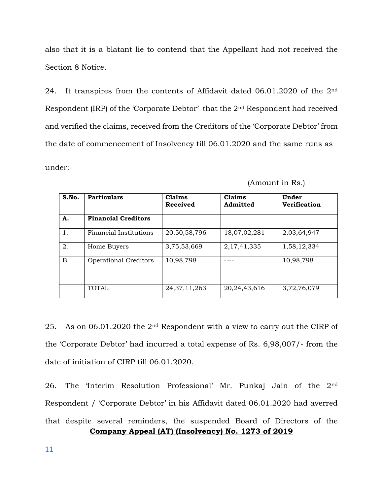also that it is a blatant lie to contend that the Appellant had not received the Section 8 Notice.

24. It transpires from the contents of Affidavit dated 06.01.2020 of the 2nd Respondent (IRP) of the 'Corporate Debtor' that the 2nd Respondent had received and verified the claims, received from the Creditors of the 'Corporate Debtor' from the date of commencement of Insolvency till 06.01.2020 and the same runs as

under:-

| S.No.     | <b>Particulars</b>            | Claims<br><b>Received</b> | Claims<br>Admitted | Under<br><b>Verification</b> |
|-----------|-------------------------------|---------------------------|--------------------|------------------------------|
| A.        | <b>Financial Creditors</b>    |                           |                    |                              |
| 1.        | <b>Financial Institutions</b> | 20,50,58,796              | 18,07,02,281       | 2,03,64,947                  |
| 2.        | Home Buyers                   | 3,75,53,669               | 2, 17, 41, 335     | 1,58,12,334                  |
| <b>B.</b> | <b>Operational Creditors</b>  | 10,98,798                 |                    | 10,98,798                    |
|           |                               |                           |                    |                              |
|           | <b>TOTAL</b>                  | 24, 37, 11, 263           | 20,24,43,616       | 3,72,76,079                  |

| (Amount in Rs.) |  |  |
|-----------------|--|--|
|                 |  |  |

25. As on 06.01.2020 the 2nd Respondent with a view to carry out the CIRP of the 'Corporate Debtor' had incurred a total expense of Rs. 6,98,007/- from the date of initiation of CIRP till 06.01.2020.

**Company Appeal (AT) (Insolvency) No. 1273 of 2019** 26. The 'Interim Resolution Professional' Mr. Punkaj Jain of the 2nd Respondent / 'Corporate Debtor' in his Affidavit dated 06.01.2020 had averred that despite several reminders, the suspended Board of Directors of the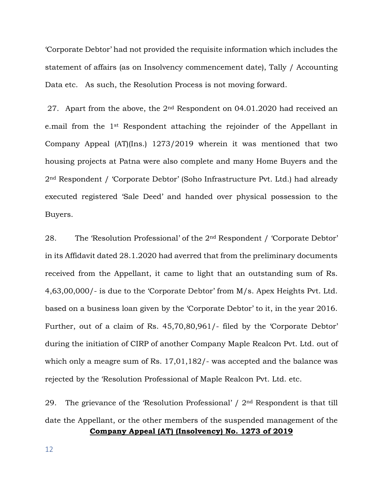'Corporate Debtor' had not provided the requisite information which includes the statement of affairs (as on Insolvency commencement date), Tally / Accounting Data etc. As such, the Resolution Process is not moving forward.

27. Apart from the above, the 2<sup>nd</sup> Respondent on 04.01.2020 had received an e.mail from the 1st Respondent attaching the rejoinder of the Appellant in Company Appeal (AT)(Ins.) 1273/2019 wherein it was mentioned that two housing projects at Patna were also complete and many Home Buyers and the 2nd Respondent / 'Corporate Debtor' (Soho Infrastructure Pvt. Ltd.) had already executed registered 'Sale Deed' and handed over physical possession to the Buyers.

28. The 'Resolution Professional' of the 2nd Respondent / 'Corporate Debtor' in its Affidavit dated 28.1.2020 had averred that from the preliminary documents received from the Appellant, it came to light that an outstanding sum of Rs. 4,63,00,000/- is due to the 'Corporate Debtor' from M/s. Apex Heights Pvt. Ltd. based on a business loan given by the 'Corporate Debtor' to it, in the year 2016. Further, out of a claim of Rs. 45,70,80,961/- filed by the 'Corporate Debtor' during the initiation of CIRP of another Company Maple Realcon Pvt. Ltd. out of which only a meagre sum of Rs. 17,01,182/- was accepted and the balance was rejected by the 'Resolution Professional of Maple Realcon Pvt. Ltd. etc.

**Company Appeal (AT) (Insolvency) No. 1273 of 2019** 29. The grievance of the 'Resolution Professional' /  $2<sup>nd</sup>$  Respondent is that till date the Appellant, or the other members of the suspended management of the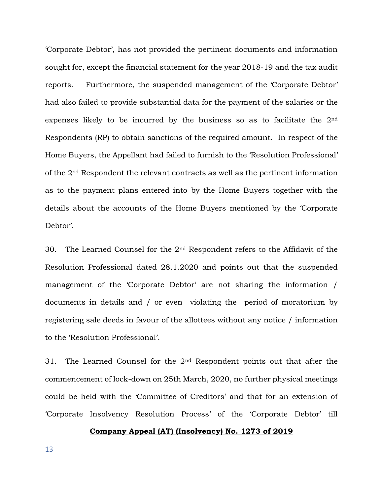'Corporate Debtor', has not provided the pertinent documents and information sought for, except the financial statement for the year 2018-19 and the tax audit reports. Furthermore, the suspended management of the 'Corporate Debtor' had also failed to provide substantial data for the payment of the salaries or the expenses likely to be incurred by the business so as to facilitate the 2nd Respondents (RP) to obtain sanctions of the required amount. In respect of the Home Buyers, the Appellant had failed to furnish to the 'Resolution Professional' of the 2nd Respondent the relevant contracts as well as the pertinent information as to the payment plans entered into by the Home Buyers together with the details about the accounts of the Home Buyers mentioned by the 'Corporate Debtor'.

30. The Learned Counsel for the 2nd Respondent refers to the Affidavit of the Resolution Professional dated 28.1.2020 and points out that the suspended management of the 'Corporate Debtor' are not sharing the information / documents in details and / or even violating the period of moratorium by registering sale deeds in favour of the allottees without any notice / information to the 'Resolution Professional'.

31. The Learned Counsel for the 2nd Respondent points out that after the commencement of lock-down on 25th March, 2020, no further physical meetings could be held with the 'Committee of Creditors' and that for an extension of 'Corporate Insolvency Resolution Process' of the 'Corporate Debtor' till

#### **Company Appeal (AT) (Insolvency) No. 1273 of 2019**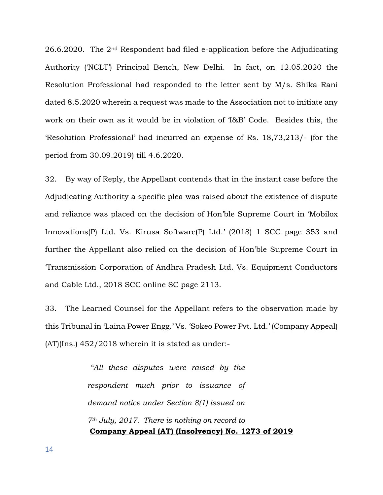26.6.2020. The 2nd Respondent had filed e-application before the Adjudicating Authority ('NCLT') Principal Bench, New Delhi. In fact, on 12.05.2020 the Resolution Professional had responded to the letter sent by M/s. Shika Rani dated 8.5.2020 wherein a request was made to the Association not to initiate any work on their own as it would be in violation of 'I&B' Code. Besides this, the 'Resolution Professional' had incurred an expense of Rs. 18,73,213/- (for the period from 30.09.2019) till 4.6.2020.

32. By way of Reply, the Appellant contends that in the instant case before the Adjudicating Authority a specific plea was raised about the existence of dispute and reliance was placed on the decision of Hon'ble Supreme Court in 'Mobilox Innovations(P) Ltd. Vs. Kirusa Software(P) Ltd.' (2018) 1 SCC page 353 and further the Appellant also relied on the decision of Hon'ble Supreme Court in 'Transmission Corporation of Andhra Pradesh Ltd. Vs. Equipment Conductors and Cable Ltd., 2018 SCC online SC page 2113.

33. The Learned Counsel for the Appellant refers to the observation made by this Tribunal in 'Laina Power Engg.' Vs. 'Sokeo Power Pvt. Ltd.' (Company Appeal) (AT)(Ins.) 452/2018 wherein it is stated as under:-

> **Company Appeal (AT) (Insolvency) No. 1273 of 2019** *"All these disputes were raised by the respondent much prior to issuance of demand notice under Section 8(1) issued on 7th July, 2017. There is nothing on record to*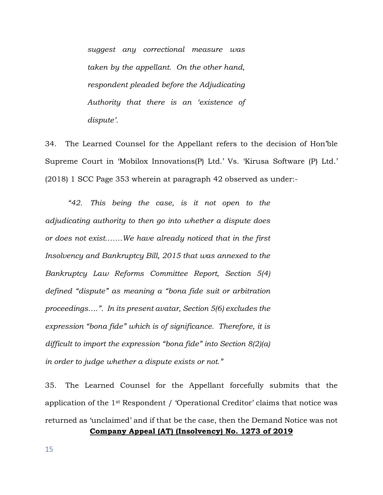*suggest any correctional measure was taken by the appellant. On the other hand, respondent pleaded before the Adjudicating Authority that there is an 'existence of dispute'.*

34. The Learned Counsel for the Appellant refers to the decision of Hon'ble Supreme Court in 'Mobilox Innovations(P) Ltd.' Vs. 'Kirusa Software (P) Ltd.' (2018) 1 SCC Page 353 wherein at paragraph 42 observed as under:-

*"42. This being the case, is it not open to the adjudicating authority to then go into whether a dispute does or does not exist…….We have already noticed that in the first Insolvency and Bankruptcy Bill, 2015 that was annexed to the Bankruptcy Law Reforms Committee Report, Section 5(4) defined "dispute" as meaning a "bona fide suit or arbitration proceedings….". In its present avatar, Section 5(6) excludes the expression "bona fide" which is of significance. Therefore, it is difficult to import the expression "bona fide" into Section 8(2)(a) in order to judge whether a dispute exists or not."*

**Company Appeal (AT) (Insolvency) No. 1273 of 2019** 35. The Learned Counsel for the Appellant forcefully submits that the application of the 1st Respondent / 'Operational Creditor' claims that notice was returned as 'unclaimed' and if that be the case, then the Demand Notice was not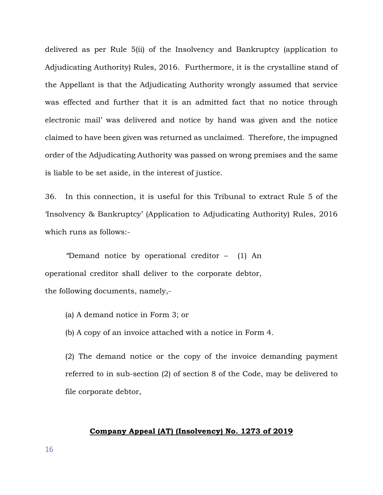delivered as per Rule 5(ii) of the Insolvency and Bankruptcy (application to Adjudicating Authority) Rules, 2016. Furthermore, it is the crystalline stand of the Appellant is that the Adjudicating Authority wrongly assumed that service was effected and further that it is an admitted fact that no notice through electronic mail' was delivered and notice by hand was given and the notice claimed to have been given was returned as unclaimed. Therefore, the impugned order of the Adjudicating Authority was passed on wrong premises and the same is liable to be set aside, in the interest of justice.

36. In this connection, it is useful for this Tribunal to extract Rule 5 of the 'Insolvency & Bankruptcy' (Application to Adjudicating Authority) Rules, 2016 which runs as follows:-

*"*Demand notice by operational creditor – (1) An operational creditor shall deliver to the corporate debtor, the following documents, namely,-

- (a) A demand notice in Form 3; or
- (b) A copy of an invoice attached with a notice in Form 4.

(2) The demand notice or the copy of the invoice demanding payment referred to in sub-section (2) of section 8 of the Code, may be delivered to file corporate debtor,

## **Company Appeal (AT) (Insolvency) No. 1273 of 2019**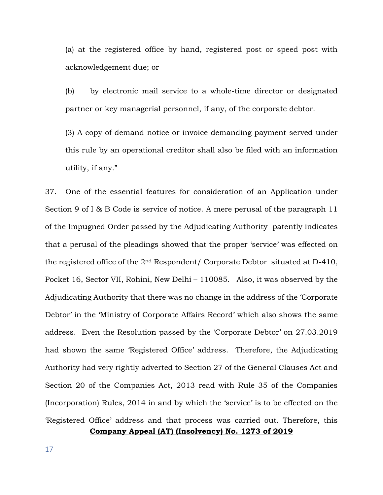(a) at the registered office by hand, registered post or speed post with acknowledgement due; or

(b) by electronic mail service to a whole-time director or designated partner or key managerial personnel, if any, of the corporate debtor.

(3) A copy of demand notice or invoice demanding payment served under this rule by an operational creditor shall also be filed with an information utility, if any."

37. One of the essential features for consideration of an Application under Section 9 of I & B Code is service of notice. A mere perusal of the paragraph 11 of the Impugned Order passed by the Adjudicating Authority patently indicates that a perusal of the pleadings showed that the proper 'service' was effected on the registered office of the 2nd Respondent/ Corporate Debtor situated at D-410, Pocket 16, Sector VII, Rohini, New Delhi – 110085. Also, it was observed by the Adjudicating Authority that there was no change in the address of the 'Corporate Debtor' in the 'Ministry of Corporate Affairs Record' which also shows the same address. Even the Resolution passed by the 'Corporate Debtor' on 27.03.2019 had shown the same 'Registered Office' address. Therefore, the Adjudicating Authority had very rightly adverted to Section 27 of the General Clauses Act and Section 20 of the Companies Act, 2013 read with Rule 35 of the Companies (Incorporation) Rules, 2014 in and by which the 'service' is to be effected on the 'Registered Office' address and that process was carried out. Therefore, this

**Company Appeal (AT) (Insolvency) No. 1273 of 2019**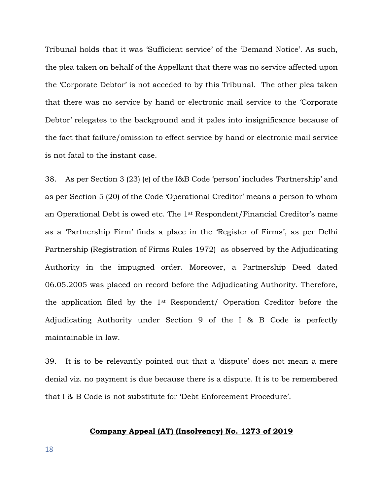Tribunal holds that it was 'Sufficient service' of the 'Demand Notice'. As such, the plea taken on behalf of the Appellant that there was no service affected upon the 'Corporate Debtor' is not acceded to by this Tribunal. The other plea taken that there was no service by hand or electronic mail service to the 'Corporate Debtor' relegates to the background and it pales into insignificance because of the fact that failure/omission to effect service by hand or electronic mail service is not fatal to the instant case.

38. As per Section 3 (23) (e) of the I&B Code 'person' includes 'Partnership' and as per Section 5 (20) of the Code 'Operational Creditor' means a person to whom an Operational Debt is owed etc. The 1st Respondent/Financial Creditor's name as a 'Partnership Firm' finds a place in the 'Register of Firms', as per Delhi Partnership (Registration of Firms Rules 1972) as observed by the Adjudicating Authority in the impugned order. Moreover, a Partnership Deed dated 06.05.2005 was placed on record before the Adjudicating Authority. Therefore, the application filed by the 1st Respondent/ Operation Creditor before the Adjudicating Authority under Section 9 of the I & B Code is perfectly maintainable in law.

39. It is to be relevantly pointed out that a 'dispute' does not mean a mere denial viz. no payment is due because there is a dispute. It is to be remembered that I & B Code is not substitute for 'Debt Enforcement Procedure'.

## **Company Appeal (AT) (Insolvency) No. 1273 of 2019**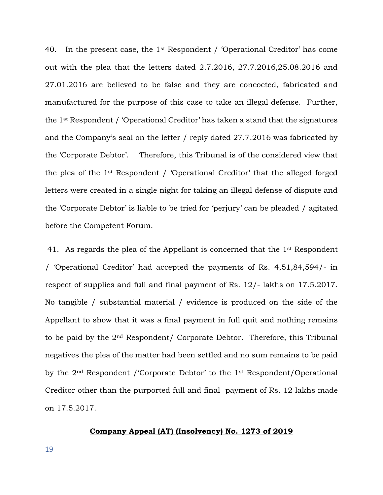40. In the present case, the 1st Respondent / 'Operational Creditor' has come out with the plea that the letters dated 2.7.2016, 27.7.2016,25.08.2016 and 27.01.2016 are believed to be false and they are concocted, fabricated and manufactured for the purpose of this case to take an illegal defense. Further, the 1st Respondent / 'Operational Creditor' has taken a stand that the signatures and the Company's seal on the letter / reply dated 27.7.2016 was fabricated by the 'Corporate Debtor'. Therefore, this Tribunal is of the considered view that the plea of the 1st Respondent / 'Operational Creditor' that the alleged forged letters were created in a single night for taking an illegal defense of dispute and the 'Corporate Debtor' is liable to be tried for 'perjury' can be pleaded / agitated before the Competent Forum.

41. As regards the plea of the Appellant is concerned that the 1<sup>st</sup> Respondent / 'Operational Creditor' had accepted the payments of Rs. 4,51,84,594/- in respect of supplies and full and final payment of Rs. 12/- lakhs on 17.5.2017. No tangible / substantial material / evidence is produced on the side of the Appellant to show that it was a final payment in full quit and nothing remains to be paid by the 2nd Respondent/ Corporate Debtor. Therefore, this Tribunal negatives the plea of the matter had been settled and no sum remains to be paid by the 2nd Respondent /'Corporate Debtor' to the 1st Respondent/Operational Creditor other than the purported full and final payment of Rs. 12 lakhs made on 17.5.2017.

## **Company Appeal (AT) (Insolvency) No. 1273 of 2019**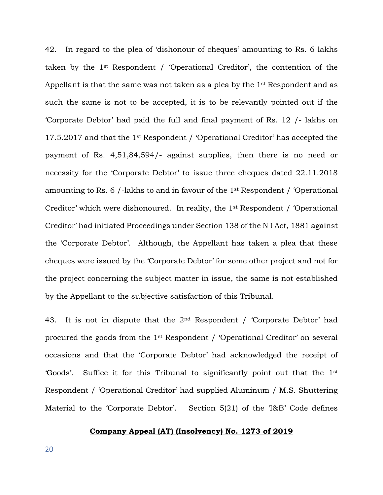42. In regard to the plea of 'dishonour of cheques' amounting to Rs. 6 lakhs taken by the 1st Respondent / 'Operational Creditor', the contention of the Appellant is that the same was not taken as a plea by the 1<sup>st</sup> Respondent and as such the same is not to be accepted, it is to be relevantly pointed out if the 'Corporate Debtor' had paid the full and final payment of Rs. 12 /- lakhs on 17.5.2017 and that the 1st Respondent / 'Operational Creditor' has accepted the payment of Rs. 4,51,84,594/- against supplies, then there is no need or necessity for the 'Corporate Debtor' to issue three cheques dated 22.11.2018 amounting to Rs. 6 /-lakhs to and in favour of the 1st Respondent / 'Operational Creditor' which were dishonoured. In reality, the 1st Respondent / 'Operational Creditor' had initiated Proceedings under Section 138 of the N I Act, 1881 against the 'Corporate Debtor'. Although, the Appellant has taken a plea that these cheques were issued by the 'Corporate Debtor' for some other project and not for the project concerning the subject matter in issue, the same is not established by the Appellant to the subjective satisfaction of this Tribunal.

43. It is not in dispute that the  $2<sup>nd</sup>$  Respondent / 'Corporate Debtor' had procured the goods from the 1st Respondent / 'Operational Creditor' on several occasions and that the 'Corporate Debtor' had acknowledged the receipt of 'Goods'. Suffice it for this Tribunal to significantly point out that the 1st Respondent / 'Operational Creditor' had supplied Aluminum / M.S. Shuttering Material to the 'Corporate Debtor'. Section 5(21) of the 'I&B' Code defines

## **Company Appeal (AT) (Insolvency) No. 1273 of 2019**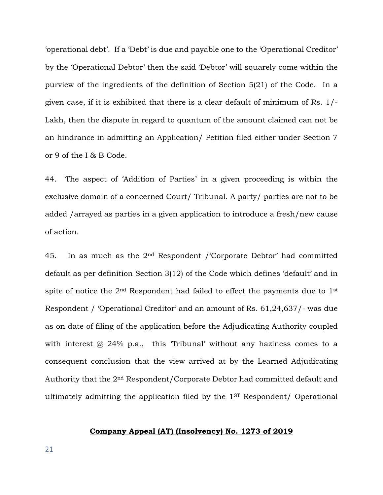'operational debt'. If a 'Debt' is due and payable one to the 'Operational Creditor' by the 'Operational Debtor' then the said 'Debtor' will squarely come within the purview of the ingredients of the definition of Section 5(21) of the Code. In a given case, if it is exhibited that there is a clear default of minimum of Rs. 1/- Lakh, then the dispute in regard to quantum of the amount claimed can not be an hindrance in admitting an Application/ Petition filed either under Section 7 or 9 of the I & B Code.

44. The aspect of 'Addition of Parties' in a given proceeding is within the exclusive domain of a concerned Court/ Tribunal. A party/ parties are not to be added /arrayed as parties in a given application to introduce a fresh/new cause of action.

45. In as much as the  $2<sup>nd</sup>$  Respondent /'Corporate Debtor' had committed default as per definition Section 3(12) of the Code which defines 'default' and in spite of notice the 2<sup>nd</sup> Respondent had failed to effect the payments due to 1<sup>st</sup> Respondent / 'Operational Creditor' and an amount of Rs. 61,24,637/- was due as on date of filing of the application before the Adjudicating Authority coupled with interest  $\omega$  24% p.a., this 'Tribunal' without any haziness comes to a consequent conclusion that the view arrived at by the Learned Adjudicating Authority that the 2nd Respondent/Corporate Debtor had committed default and ultimately admitting the application filed by the 1ST Respondent/ Operational

## **Company Appeal (AT) (Insolvency) No. 1273 of 2019**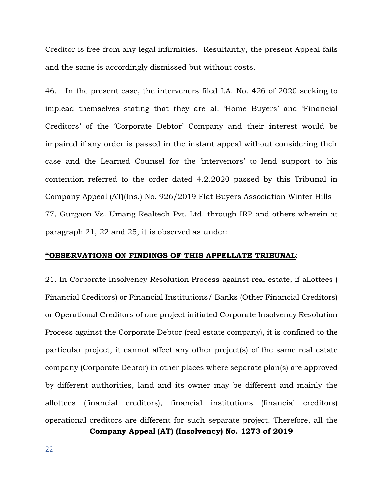Creditor is free from any legal infirmities. Resultantly, the present Appeal fails and the same is accordingly dismissed but without costs.

46. In the present case, the intervenors filed I.A. No. 426 of 2020 seeking to implead themselves stating that they are all 'Home Buyers' and 'Financial Creditors' of the 'Corporate Debtor' Company and their interest would be impaired if any order is passed in the instant appeal without considering their case and the Learned Counsel for the 'intervenors' to lend support to his contention referred to the order dated 4.2.2020 passed by this Tribunal in Company Appeal (AT)(Ins.) No. 926/2019 Flat Buyers Association Winter Hills – 77, Gurgaon Vs. Umang Realtech Pvt. Ltd. through IRP and others wherein at paragraph 21, 22 and 25, it is observed as under:

#### **"OBSERVATIONS ON FINDINGS OF THIS APPELLATE TRIBUNAL**:

21. In Corporate Insolvency Resolution Process against real estate, if allottees ( Financial Creditors) or Financial Institutions/ Banks (Other Financial Creditors) or Operational Creditors of one project initiated Corporate Insolvency Resolution Process against the Corporate Debtor (real estate company), it is confined to the particular project, it cannot affect any other project(s) of the same real estate company (Corporate Debtor) in other places where separate plan(s) are approved by different authorities, land and its owner may be different and mainly the allottees (financial creditors), financial institutions (financial creditors) operational creditors are different for such separate project. Therefore, all the

**Company Appeal (AT) (Insolvency) No. 1273 of 2019**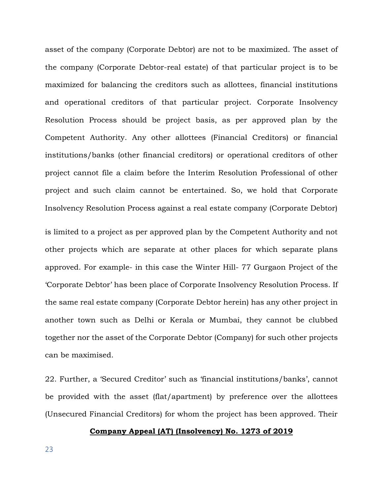asset of the company (Corporate Debtor) are not to be maximized. The asset of the company (Corporate Debtor-real estate) of that particular project is to be maximized for balancing the creditors such as allottees, financial institutions and operational creditors of that particular project. Corporate Insolvency Resolution Process should be project basis, as per approved plan by the Competent Authority. Any other allottees (Financial Creditors) or financial institutions/banks (other financial creditors) or operational creditors of other project cannot file a claim before the Interim Resolution Professional of other project and such claim cannot be entertained. So, we hold that Corporate Insolvency Resolution Process against a real estate company (Corporate Debtor)

is limited to a project as per approved plan by the Competent Authority and not other projects which are separate at other places for which separate plans approved. For example- in this case the Winter Hill- 77 Gurgaon Project of the 'Corporate Debtor' has been place of Corporate Insolvency Resolution Process. If the same real estate company (Corporate Debtor herein) has any other project in another town such as Delhi or Kerala or Mumbai, they cannot be clubbed together nor the asset of the Corporate Debtor (Company) for such other projects can be maximised.

22. Further, a 'Secured Creditor' such as 'financial institutions/banks', cannot be provided with the asset (flat/apartment) by preference over the allottees (Unsecured Financial Creditors) for whom the project has been approved. Their

## **Company Appeal (AT) (Insolvency) No. 1273 of 2019**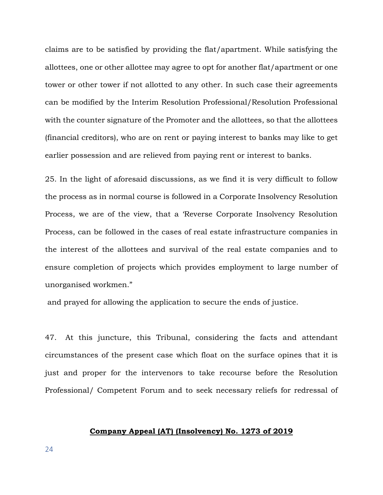claims are to be satisfied by providing the flat/apartment. While satisfying the allottees, one or other allottee may agree to opt for another flat/apartment or one tower or other tower if not allotted to any other. In such case their agreements can be modified by the Interim Resolution Professional/Resolution Professional with the counter signature of the Promoter and the allottees, so that the allottees (financial creditors), who are on rent or paying interest to banks may like to get earlier possession and are relieved from paying rent or interest to banks.

25. In the light of aforesaid discussions, as we find it is very difficult to follow the process as in normal course is followed in a Corporate Insolvency Resolution Process, we are of the view, that a 'Reverse Corporate Insolvency Resolution Process, can be followed in the cases of real estate infrastructure companies in the interest of the allottees and survival of the real estate companies and to ensure completion of projects which provides employment to large number of unorganised workmen."

and prayed for allowing the application to secure the ends of justice.

47. At this juncture, this Tribunal, considering the facts and attendant circumstances of the present case which float on the surface opines that it is just and proper for the intervenors to take recourse before the Resolution Professional/ Competent Forum and to seek necessary reliefs for redressal of

## **Company Appeal (AT) (Insolvency) No. 1273 of 2019**